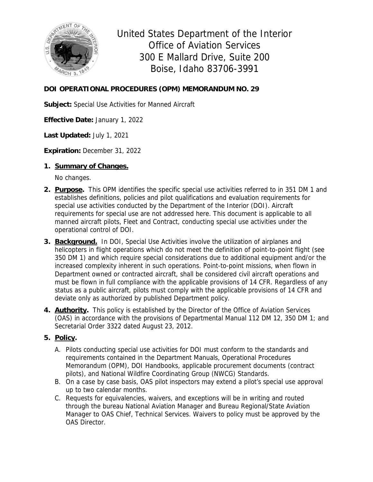

United States Department of the Interior Office of Aviation Services 300 E Mallard Drive, Suite 200 Boise, Idaho 83706-3991

# **DOI OPERATIONAL PROCEDURES (OPM) MEMORANDUM NO. 29**

**Subject:** Special Use Activities for Manned Aircraft

**Effective Date:** January 1, 2022

**Last Updated:** July 1, 2021

**Expiration:** December 31, 2022

#### **1. Summary of Changes.**

No changes.

- **2. Purpose.** This OPM identifies the specific special use activities referred to in 351 DM 1 and establishes definitions, policies and pilot qualifications and evaluation requirements for special use activities conducted by the Department of the Interior (DOI). Aircraft requirements for special use are not addressed here. This document is applicable to all manned aircraft pilots, Fleet and Contract, conducting special use activities under the operational control of DOI.
- **3. Background.** In DOI, Special Use Activities involve the utilization of airplanes and helicopters in flight operations which do not meet the definition of point-to-point flight (see 350 DM 1) and which require special considerations due to additional equipment and/or the increased complexity inherent in such operations. Point-to-point missions, when flown in Department owned or contracted aircraft, shall be considered civil aircraft operations and must be flown in full compliance with the applicable provisions of 14 CFR. Regardless of any status as a public aircraft, pilots must comply with the applicable provisions of 14 CFR and deviate only as authorized by published Department policy.
- **4. Authority.** This policy is established by the Director of the Office of Aviation Services (OAS) in accordance with the provisions of Departmental Manual 112 DM 12, 350 DM 1; and Secretarial Order 3322 dated August 23, 2012.

### **5. Policy.**

- A. Pilots conducting special use activities for DOI must conform to the standards and requirements contained in the Department Manuals, Operational Procedures Memorandum (OPM), DOI Handbooks, applicable procurement documents (contract pilots), and National Wildfire Coordinating Group (NWCG) Standards.
- B. On a case by case basis, OAS pilot inspectors may extend a pilot's special use approval up to two calendar months.
- C. Requests for equivalencies, waivers, and exceptions will be in writing and routed through the bureau National Aviation Manager and Bureau Regional/State Aviation Manager to OAS Chief, Technical Services. Waivers to policy must be approved by the OAS Director.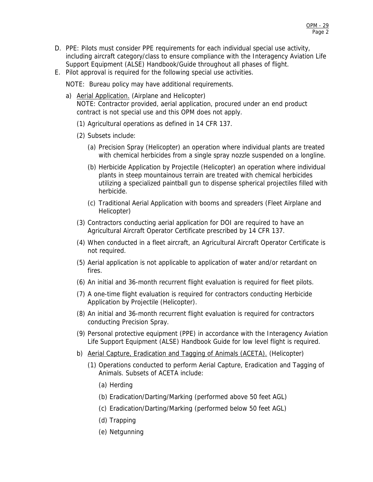- D. PPE: Pilots must consider PPE requirements for each individual special use activity, including aircraft category/class to ensure compliance with the Interagency Aviation Life Support Equipment (ALSE) Handbook/Guide throughout all phases of flight.
- E. Pilot approval is required for the following special use activities.

NOTE: Bureau policy may have additional requirements.

- a) Aerial Application. (Airplane and Helicopter) NOTE: Contractor provided, aerial application, procured under an end product contract is not special use and this OPM does not apply.
	- (1) Agricultural operations as defined in 14 CFR 137.
	- (2) Subsets include:
		- (a) Precision Spray (Helicopter) an operation where individual plants are treated with chemical herbicides from a single spray nozzle suspended on a longline.
		- (b) Herbicide Application by Projectile (Helicopter) an operation where individual plants in steep mountainous terrain are treated with chemical herbicides utilizing a specialized paintball gun to dispense spherical projectiles filled with herbicide.
		- (c) Traditional Aerial Application with booms and spreaders (Fleet Airplane and Helicopter)
	- (3) Contractors conducting aerial application for DOI are required to have an Agricultural Aircraft Operator Certificate prescribed by 14 CFR 137.
	- (4) When conducted in a fleet aircraft, an Agricultural Aircraft Operator Certificate is not required.
	- (5) Aerial application is not applicable to application of water and/or retardant on fires.
	- (6) An initial and 36-month recurrent flight evaluation is required for fleet pilots.
	- (7) A one-time flight evaluation is required for contractors conducting Herbicide Application by Projectile (Helicopter).
	- (8) An initial and 36-month recurrent flight evaluation is required for contractors conducting Precision Spray.
	- (9) Personal protective equipment (PPE) in accordance with the Interagency Aviation Life Support Equipment (ALSE) Handbook Guide for low level flight is required.
	- b) Aerial Capture, Eradication and Tagging of Animals (ACETA). (Helicopter)
		- (1) Operations conducted to perform Aerial Capture, Eradication and Tagging of Animals. Subsets of ACETA include:
			- (a) Herding
			- (b) Eradication/Darting/Marking (performed above 50 feet AGL)
			- (c) Eradication/Darting/Marking (performed below 50 feet AGL)
			- (d) Trapping
			- (e) Netgunning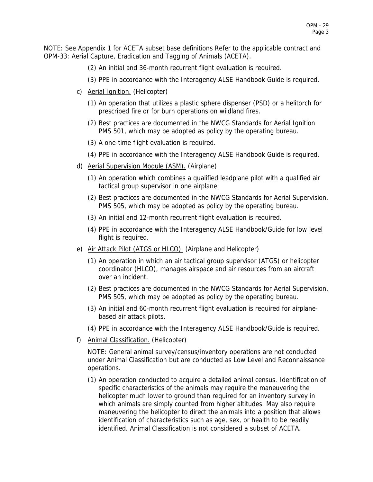NOTE: See Appendix 1 for ACETA subset base definitions Refer to the applicable contract and OPM-33: Aerial Capture, Eradication and Tagging of Animals (ACETA).

- (2) An initial and 36-month recurrent flight evaluation is required.
- (3) PPE in accordance with the Interagency ALSE Handbook Guide is required.
- c) **Aerial Ignition.** (Helicopter)
	- (1) An operation that utilizes a plastic sphere dispenser (PSD) or a helitorch for prescribed fire or for burn operations on wildland fires.
	- (2) Best practices are documented in the NWCG Standards for Aerial Ignition PMS 501, which may be adopted as policy by the operating bureau.
	- (3) A one-time flight evaluation is required.
	- (4) PPE in accordance with the Interagency ALSE Handbook Guide is required.
- d) Aerial Supervision Module (ASM). (Airplane)
	- (1) An operation which combines a qualified leadplane pilot with a qualified air tactical group supervisor in one airplane.
	- (2) Best practices are documented in the NWCG Standards for Aerial Supervision, PMS 505, which may be adopted as policy by the operating bureau.
	- (3) An initial and 12-month recurrent flight evaluation is required.
	- (4) PPE in accordance with the Interagency ALSE Handbook/Guide for low level flight is required.
- e) Air Attack Pilot (ATGS or HLCO). (Airplane and Helicopter)
	- (1) An operation in which an air tactical group supervisor (ATGS) or helicopter coordinator (HLCO), manages airspace and air resources from an aircraft over an incident.
	- (2) Best practices are documented in the NWCG Standards for Aerial Supervision, PMS 505, which may be adopted as policy by the operating bureau.
	- (3) An initial and 60-month recurrent flight evaluation is required for airplanebased air attack pilots.
	- (4) PPE in accordance with the Interagency ALSE Handbook/Guide is required.
- f) Animal Classification. (Helicopter)

NOTE: General animal survey/census/inventory operations are not conducted under Animal Classification but are conducted as Low Level and Reconnaissance operations.

(1) An operation conducted to acquire a detailed animal census. Identification of specific characteristics of the animals may require the maneuvering the helicopter much lower to ground than required for an inventory survey in which animals are simply counted from higher altitudes. May also require maneuvering the helicopter to direct the animals into a position that allows identification of characteristics such as age, sex, or health to be readily identified. Animal Classification is not considered a subset of ACETA.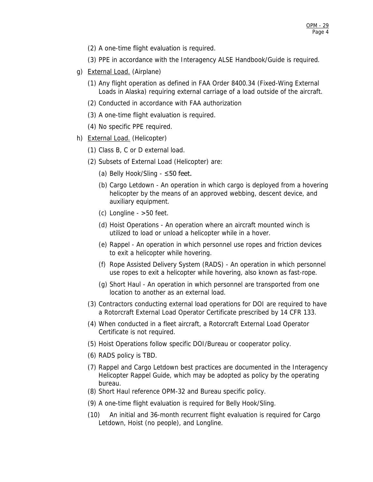- (2) A one-time flight evaluation is required.
- (3) PPE in accordance with the Interagency ALSE Handbook/Guide is required.
- g) External Load. (Airplane)
	- (1) Any flight operation as defined in FAA Order 8400.34 (Fixed-Wing External Loads in Alaska) requiring external carriage of a load outside of the aircraft.
	- (2) Conducted in accordance with FAA authorization
	- (3) A one-time flight evaluation is required.
	- (4) No specific PPE required.
- h) External Load. (Helicopter)
	- (1) Class B, C or D external load.
	- (2) Subsets of External Load (Helicopter) are:
		- (a) Belly Hook/Sling ≤50 feet.
		- (b) Cargo Letdown An operation in which cargo is deployed from a hovering helicopter by the means of an approved webbing, descent device, and auxiliary equipment.
		- $(c)$  Longline  $>50$  feet.
		- (d) Hoist Operations An operation where an aircraft mounted winch is utilized to load or unload a helicopter while in a hover.
		- (e) Rappel An operation in which personnel use ropes and friction devices to exit a helicopter while hovering.
		- (f) Rope Assisted Delivery System (RADS) An operation in which personnel use ropes to exit a helicopter while hovering, also known as fast-rope.
		- (g) Short Haul An operation in which personnel are transported from one location to another as an external load.
	- (3) Contractors conducting external load operations for DOI are required to have a Rotorcraft External Load Operator Certificate prescribed by 14 CFR 133.
	- (4) When conducted in a fleet aircraft, a Rotorcraft External Load Operator Certificate is not required.
	- (5) Hoist Operations follow specific DOI/Bureau or cooperator policy.
	- (6) RADS policy is TBD.
	- (7) Rappel and Cargo Letdown best practices are documented in the Interagency Helicopter Rappel Guide, which may be adopted as policy by the operating bureau.
	- (8) Short Haul reference OPM-32 and Bureau specific policy.
	- (9) A one-time flight evaluation is required for Belly Hook/Sling.
	- (10) An initial and 36-month recurrent flight evaluation is required for Cargo Letdown, Hoist (no people), and Longline.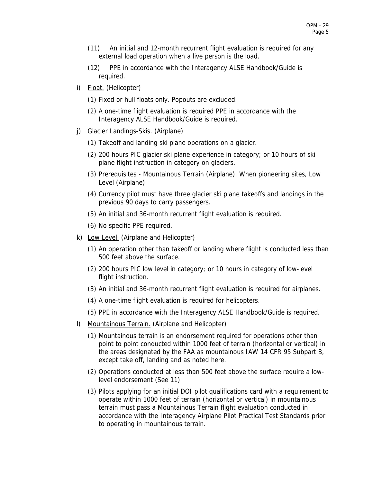- (11) An initial and 12-month recurrent flight evaluation is required for any external load operation when a live person is the load.
- (12) PPE in accordance with the Interagency ALSE Handbook/Guide is required.
- i) Float. (Helicopter)
	- (1) Fixed or hull floats only. Popouts are excluded.
	- (2) A one-time flight evaluation is required PPE in accordance with the Interagency ALSE Handbook/Guide is required.
- j) Glacier Landings-Skis. (Airplane)
	- (1) Takeoff and landing ski plane operations on a glacier.
	- (2) 200 hours PIC glacier ski plane experience in category; or 10 hours of ski plane flight instruction in category on glaciers.
	- (3) Prerequisites Mountainous Terrain (Airplane). When pioneering sites, Low Level (Airplane).
	- (4) Currency pilot must have three glacier ski plane takeoffs and landings in the previous 90 days to carry passengers.
	- (5) An initial and 36-month recurrent flight evaluation is required.
	- (6) No specific PPE required.
- k) Low Level. (Airplane and Helicopter)
	- (1) An operation other than takeoff or landing where flight is conducted less than 500 feet above the surface.
	- (2) 200 hours PIC low level in category; or 10 hours in category of low-level flight instruction.
	- (3) An initial and 36-month recurrent flight evaluation is required for airplanes.
	- (4) A one-time flight evaluation is required for helicopters.
	- (5) PPE in accordance with the Interagency ALSE Handbook/Guide is required.
- l) Mountainous Terrain. (Airplane and Helicopter)
	- (1) Mountainous terrain is an endorsement required for operations other than point to point conducted within 1000 feet of terrain (horizontal or vertical) in the areas designated by the FAA as mountainous IAW 14 CFR 95 Subpart B, except take off, landing and as noted here.
	- (2) Operations conducted at less than 500 feet above the surface require a lowlevel endorsement (See 11)
	- (3) Pilots applying for an initial DOI pilot qualifications card with a requirement to operate within 1000 feet of terrain (horizontal or vertical) in mountainous terrain must pass a Mountainous Terrain flight evaluation conducted in accordance with the Interagency Airplane Pilot Practical Test Standards prior to operating in mountainous terrain.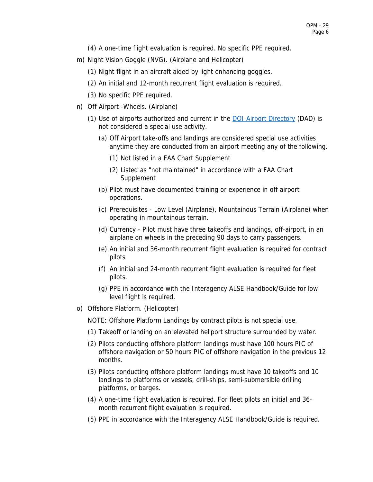(4) A one-time flight evaluation is required. No specific PPE required.

m) Night Vision Goggle (NVG). (Airplane and Helicopter)

(1) Night flight in an aircraft aided by light enhancing goggles.

- (2) An initial and 12-month recurrent flight evaluation is required.
- (3) No specific PPE required.
- n) Off Airport -Wheels. (Airplane)
	- (1) Use of airports authorized and current in the [DOI Airport Directory](https://www.doi.gov/aviation/akro/safety_compliance/approved_landing) (DAD) is not considered a special use activity.
		- (a) Off Airport take-offs and landings are considered special use activities anytime they are conducted from an airport meeting any of the following.
			- (1) Not listed in a FAA Chart Supplement
			- (2) Listed as "not maintained" in accordance with a FAA Chart Supplement
		- (b) Pilot must have documented training or experience in off airport operations.
		- (c) Prerequisites Low Level (Airplane), Mountainous Terrain (Airplane) when operating in mountainous terrain.
		- (d) Currency Pilot must have three takeoffs and landings, off-airport, in an airplane on wheels in the preceding 90 days to carry passengers.
		- (e) An initial and 36-month recurrent flight evaluation is required for contract pilots
		- (f) An initial and 24-month recurrent flight evaluation is required for fleet pilots.
		- (g) PPE in accordance with the Interagency ALSE Handbook/Guide for low level flight is required.
- o) Offshore Platform. (Helicopter)

NOTE: Offshore Platform Landings by contract pilots is not special use.

- (1) Takeoff or landing on an elevated heliport structure surrounded by water.
- (2) Pilots conducting offshore platform landings must have 100 hours PIC of offshore navigation or 50 hours PIC of offshore navigation in the previous 12 months.
- (3) Pilots conducting offshore platform landings must have 10 takeoffs and 10 landings to platforms or vessels, drill-ships, semi-submersible drilling platforms, or barges.
- (4) A one-time flight evaluation is required. For fleet pilots an initial and 36 month recurrent flight evaluation is required.
- (5) PPE in accordance with the Interagency ALSE Handbook/Guide is required.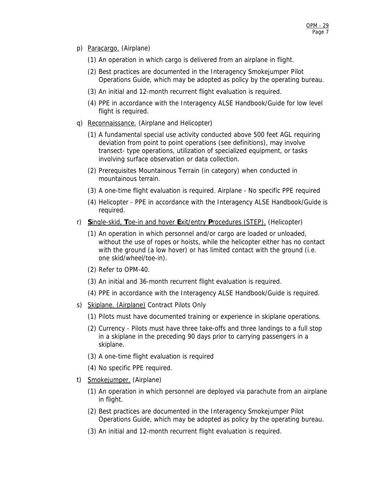- p) Paracargo. (Airplane)
	- (1) An operation in which cargo is delivered from an airplane in flight.
	- (2) Best practices are documented in the Interagency Smokejumper Pilot Operations Guide, which may be adopted as policy by the operating bureau.
	- (3) An initial and 12-month recurrent flight evaluation is required.
	- (4) PPE in accordance with the Interagency ALSE Handbook/Guide for low level flight is required.
- q) Reconnaissance. (Airplane and Helicopter)
	- (1) A fundamental special use activity conducted above 500 feet AGL requiring deviation from point to point operations (see definitions), may involve transect- type operations, utilization of specialized equipment, or tasks involving surface observation or data collection.
	- (2) Prerequisites Mountainous Terrain (in category) when conducted in mountainous terrain.
	- (3) A one-time flight evaluation is required. Airplane No specific PPE required
	- (4) Helicopter PPE in accordance with the Interagency ALSE Handbook/Guide is required.
- r) **S**ingle-skid, **T**oe-in and hover **E**xit/entry **P**rocedures (STEP). (Helicopter)
	- (1) An operation in which personnel and/or cargo are loaded or unloaded, without the use of ropes or hoists, while the helicopter either has no contact with the ground (a low hover) or has limited contact with the ground (i.e. one skid/wheel/toe-in).
	- (2) Refer to OPM-40.
	- (3) An initial and 36-month recurrent flight evaluation is required.
	- (4) PPE in accordance with the Interagency ALSE Handbook/Guide is required.
- s) Skiplane. (Airplane) Contract Pilots Only
	- (1) Pilots must have documented training or experience in skiplane operations.
	- (2) Currency Pilots must have three take-offs and three landings to a full stop in a skiplane in the preceding 90 days prior to carrying passengers in a skiplane.
	- (3) A one-time flight evaluation is required
	- (4) No specific PPE required.
- t) Smokejumper. (Airplane)
	- (1) An operation in which personnel are deployed via parachute from an airplane in flight.
	- (2) Best practices are documented in the Interagency Smokejumper Pilot Operations Guide, which may be adopted as policy by the operating bureau.
	- (3) An initial and 12-month recurrent flight evaluation is required.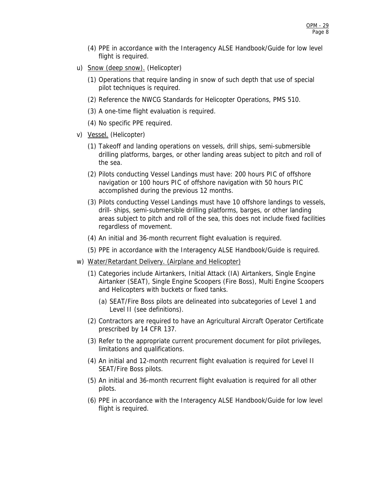- (4) PPE in accordance with the Interagency ALSE Handbook/Guide for low level flight is required.
- u) Snow (deep snow). (Helicopter)
	- (1) Operations that require landing in snow of such depth that use of special pilot techniques is required.
	- (2) Reference the NWCG Standards for Helicopter Operations, PMS 510.
	- (3) A one-time flight evaluation is required.
	- (4) No specific PPE required.
- v) Vessel. (Helicopter)
	- (1) Takeoff and landing operations on vessels, drill ships, semi-submersible drilling platforms, barges, or other landing areas subject to pitch and roll of the sea.
	- (2) Pilots conducting Vessel Landings must have: 200 hours PIC of offshore navigation or 100 hours PIC of offshore navigation with 50 hours PIC accomplished during the previous 12 months.
	- (3) Pilots conducting Vessel Landings must have 10 offshore landings to vessels, drill- ships, semi-submersible drilling platforms, barges, or other landing areas subject to pitch and roll of the sea, this does not include fixed facilities regardless of movement.
	- (4) An initial and 36-month recurrent flight evaluation is required.
	- (5) PPE in accordance with the Interagency ALSE Handbook/Guide is required.
- w) Water/Retardant Delivery. (Airplane and Helicopter)
	- (1) Categories include Airtankers, Initial Attack (IA) Airtankers, Single Engine Airtanker (SEAT), Single Engine Scoopers (Fire Boss), Multi Engine Scoopers and Helicopters with buckets or fixed tanks.
		- (a) SEAT/Fire Boss pilots are delineated into subcategories of Level 1 and Level II (see definitions).
	- (2) Contractors are required to have an Agricultural Aircraft Operator Certificate prescribed by 14 CFR 137.
	- (3) Refer to the appropriate current procurement document for pilot privileges, limitations and qualifications.
	- (4) An initial and 12-month recurrent flight evaluation is required for Level II SEAT/Fire Boss pilots.
	- (5) An initial and 36-month recurrent flight evaluation is required for all other pilots.
	- (6) PPE in accordance with the Interagency ALSE Handbook/Guide for low level flight is required.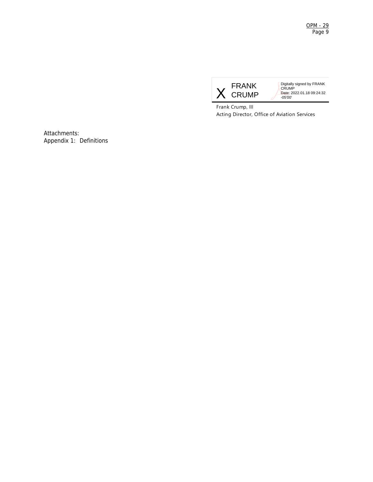<u>OPM - 29</u> Page 9



Digitally signed by FRANK CRUMP Date: 2022.01.18 09:24:32 -05'00'

Frank Crump, III Acting Director, Office of Aviation Services

Attachments: Appendix 1: Definitions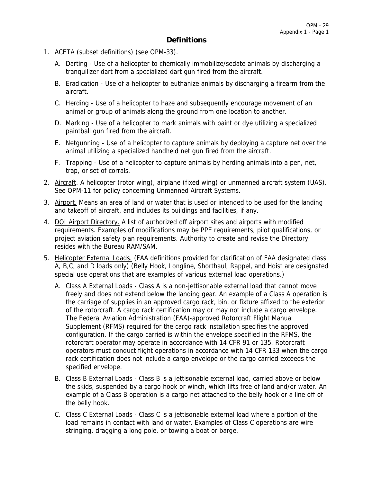# **Definitions**

- 1. ACETA (subset definitions) (see OPM-33).
	- A. Darting Use of a helicopter to chemically immobilize/sedate animals by discharging a tranquilizer dart from a specialized dart gun fired from the aircraft.
	- B. Eradication Use of a helicopter to euthanize animals by discharging a firearm from the aircraft.
	- C. Herding Use of a helicopter to haze and subsequently encourage movement of an animal or group of animals along the ground from one location to another.
	- D. Marking Use of a helicopter to mark animals with paint or dye utilizing a specialized paintball gun fired from the aircraft.
	- E. Netgunning Use of a helicopter to capture animals by deploying a capture net over the animal utilizing a specialized handheld net gun fired from the aircraft.
	- F. Trapping Use of a helicopter to capture animals by herding animals into a pen, net, trap, or set of corrals.
- 2. Aircraft. A helicopter (rotor wing), airplane (fixed wing) or unmanned aircraft system (UAS). See OPM-11 for policy concerning Unmanned Aircraft Systems.
- 3. Airport. Means an area of land or water that is used or intended to be used for the landing and takeoff of aircraft, and includes its buildings and facilities, if any.
- 4. DOI Airport Directory. A list of authorized off airport sites and airports with modified requirements. Examples of modifications may be PPE requirements, pilot qualifications, or project aviation safety plan requirements. Authority to create and revise the Directory resides with the Bureau RAM/SAM.
- 5. Helicopter External Loads. (FAA definitions provided for clarification of FAA designated class A, B,C, and D loads only) (Belly Hook, Longline, Shorthaul, Rappel, and Hoist are designated special use operations that are examples of various external load operations.)
	- A. Class A External Loads Class A is a non-jettisonable external load that cannot move freely and does not extend below the landing gear. An example of a Class A operation is the carriage of supplies in an approved cargo rack, bin, or fixture affixed to the exterior of the rotorcraft. A cargo rack certification may or may not include a cargo envelope. The Federal Aviation Administration (FAA)-approved Rotorcraft Flight Manual Supplement (RFMS) required for the cargo rack installation specifies the approved configuration. If the cargo carried is within the envelope specified in the RFMS, the rotorcraft operator may operate in accordance with 14 CFR 91 or 135. Rotorcraft operators must conduct flight operations in accordance with 14 CFR 133 when the cargo rack certification does not include a cargo envelope or the cargo carried exceeds the specified envelope.
	- B. Class B External Loads Class B is a jettisonable external load, carried above or below the skids, suspended by a cargo hook or winch, which lifts free of land and/or water. An example of a Class B operation is a cargo net attached to the belly hook or a line off of the belly hook.
	- C. Class C External Loads Class C is a jettisonable external load where a portion of the load remains in contact with land or water. Examples of Class C operations are wire stringing, dragging a long pole, or towing a boat or barge.